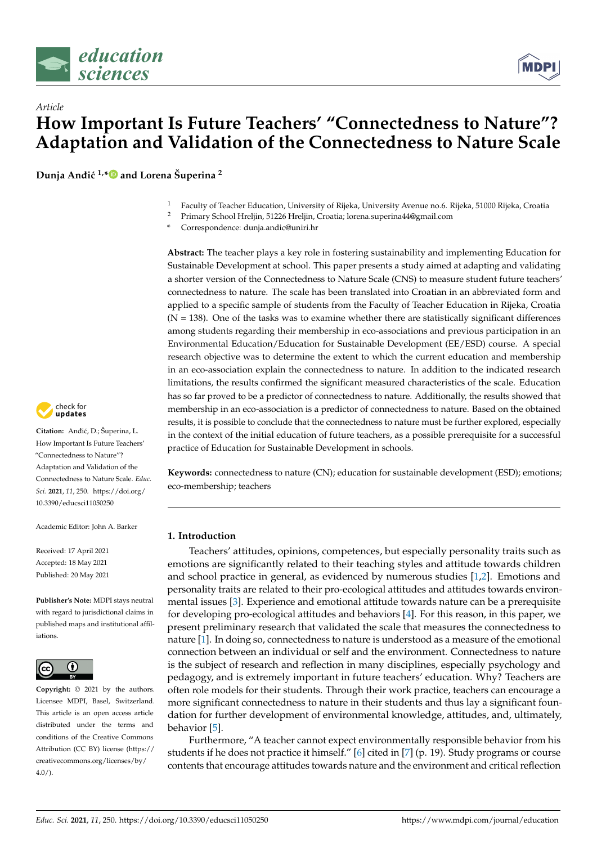



**Dunja Andi´c ¯ 1,[\\*](https://orcid.org/0000-0001-8444-1820) and Lorena Šuperina <sup>2</sup>**



- <sup>2</sup> Primary School Hreljin, 51226 Hreljin, Croatia; lorena.superina44@gmail.com
- **\*** Correspondence: dunja.andic@uniri.hr

**Abstract:** The teacher plays a key role in fostering sustainability and implementing Education for Sustainable Development at school. This paper presents a study aimed at adapting and validating a shorter version of the Connectedness to Nature Scale (CNS) to measure student future teachers' connectedness to nature. The scale has been translated into Croatian in an abbreviated form and applied to a specific sample of students from the Faculty of Teacher Education in Rijeka, Croatia  $(N = 138)$ . One of the tasks was to examine whether there are statistically significant differences among students regarding their membership in eco-associations and previous participation in an Environmental Education/Education for Sustainable Development (EE/ESD) course. A special research objective was to determine the extent to which the current education and membership in an eco-association explain the connectedness to nature. In addition to the indicated research limitations, the results confirmed the significant measured characteristics of the scale. Education has so far proved to be a predictor of connectedness to nature. Additionally, the results showed that membership in an eco-association is a predictor of connectedness to nature. Based on the obtained results, it is possible to conclude that the connectedness to nature must be further explored, especially in the context of the initial education of future teachers, as a possible prerequisite for a successful practice of Education for Sustainable Development in schools.

**Keywords:** connectedness to nature (CN); education for sustainable development (ESD); emotions; eco-membership; teachers

# **1. Introduction**

Teachers' attitudes, opinions, competences, but especially personality traits such as emotions are significantly related to their teaching styles and attitude towards children and school practice in general, as evidenced by numerous studies [\[1](#page-12-0)[,2\]](#page-12-1). Emotions and personality traits are related to their pro-ecological attitudes and attitudes towards environmental issues [\[3\]](#page-13-0). Experience and emotional attitude towards nature can be a prerequisite for developing pro-ecological attitudes and behaviors [\[4\]](#page-13-1). For this reason, in this paper, we present preliminary research that validated the scale that measures the connectedness to nature [\[1\]](#page-12-0). In doing so, connectedness to nature is understood as a measure of the emotional connection between an individual or self and the environment. Connectedness to nature is the subject of research and reflection in many disciplines, especially psychology and pedagogy, and is extremely important in future teachers' education. Why? Teachers are often role models for their students. Through their work practice, teachers can encourage a more significant connectedness to nature in their students and thus lay a significant foundation for further development of environmental knowledge, attitudes, and, ultimately, behavior [\[5\]](#page-13-2).

Furthermore, "A teacher cannot expect environmentally responsible behavior from his students if he does not practice it himself." [\[6\]](#page-13-3) cited in [\[7\]](#page-13-4) (p. 19). Study programs or course contents that encourage attitudes towards nature and the environment and critical reflection



Citation: Anđić, D.; Šuperina, L. How Important Is Future Teachers' "Connectedness to Nature"? Adaptation and Validation of the Connectedness to Nature Scale. *Educ. Sci.* **2021**, *11*, 250. [https://doi.org/](https://doi.org/10.3390/educsci11050250) [10.3390/educsci11050250](https://doi.org/10.3390/educsci11050250)

Academic Editor: John A. Barker

Received: 17 April 2021 Accepted: 18 May 2021 Published: 20 May 2021

**Publisher's Note:** MDPI stays neutral with regard to jurisdictional claims in published maps and institutional affiliations.



**Copyright:** © 2021 by the authors. Licensee MDPI, Basel, Switzerland. This article is an open access article distributed under the terms and conditions of the Creative Commons Attribution (CC BY) license (https:/[/](https://creativecommons.org/licenses/by/4.0/) [creativecommons.org/licenses/by/](https://creativecommons.org/licenses/by/4.0/)  $4.0/$ ).

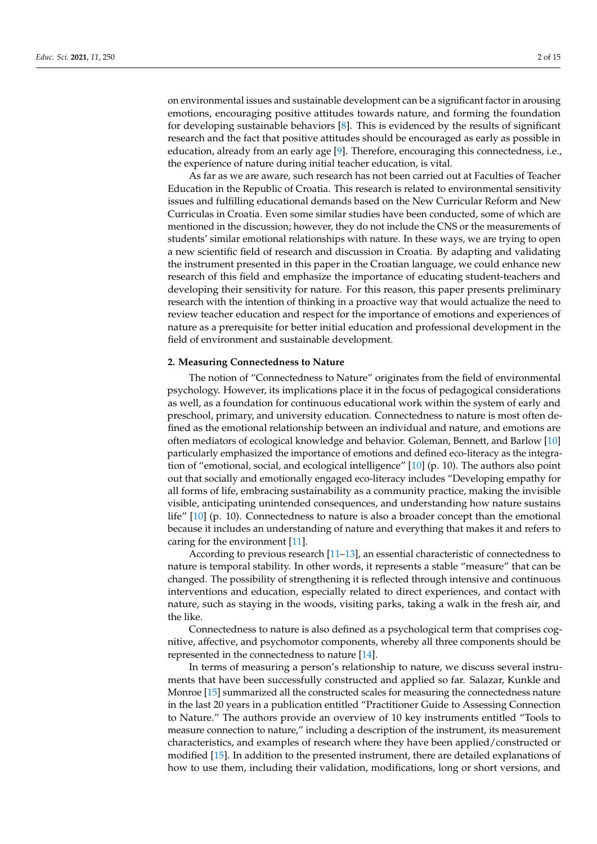on environmental issues and sustainable development can be a significant factor in arousing emotions, encouraging positive attitudes towards nature, and forming the foundation for developing sustainable behaviors [\[8\]](#page-13-5). This is evidenced by the results of significant research and the fact that positive attitudes should be encouraged as early as possible in education, already from an early age [\[9\]](#page-13-6). Therefore, encouraging this connectedness, i.e., the experience of nature during initial teacher education, is vital.

As far as we are aware, such research has not been carried out at Faculties of Teacher Education in the Republic of Croatia. This research is related to environmental sensitivity issues and fulfilling educational demands based on the New Curricular Reform and New Curriculas in Croatia. Even some similar studies have been conducted, some of which are mentioned in the discussion; however, they do not include the CNS or the measurements of students' similar emotional relationships with nature. In these ways, we are trying to open a new scientific field of research and discussion in Croatia. By adapting and validating the instrument presented in this paper in the Croatian language, we could enhance new research of this field and emphasize the importance of educating student-teachers and developing their sensitivity for nature. For this reason, this paper presents preliminary research with the intention of thinking in a proactive way that would actualize the need to review teacher education and respect for the importance of emotions and experiences of nature as a prerequisite for better initial education and professional development in the field of environment and sustainable development.

#### **2. Measuring Connectedness to Nature**

The notion of "Connectedness to Nature" originates from the field of environmental psychology. However, its implications place it in the focus of pedagogical considerations as well, as a foundation for continuous educational work within the system of early and preschool, primary, and university education. Connectedness to nature is most often defined as the emotional relationship between an individual and nature, and emotions are often mediators of ecological knowledge and behavior. Goleman, Bennett, and Barlow [\[10\]](#page-13-7) particularly emphasized the importance of emotions and defined eco-literacy as the integration of "emotional, social, and ecological intelligence" [\[10\]](#page-13-7) (p. 10). The authors also point out that socially and emotionally engaged eco-literacy includes "Developing empathy for all forms of life, embracing sustainability as a community practice, making the invisible visible, anticipating unintended consequences, and understanding how nature sustains life" [\[10\]](#page-13-7) (p. 10). Connectedness to nature is also a broader concept than the emotional because it includes an understanding of nature and everything that makes it and refers to caring for the environment [\[11\]](#page-13-8).

According to previous research [\[11](#page-13-8)[–13\]](#page-13-9), an essential characteristic of connectedness to nature is temporal stability. In other words, it represents a stable "measure" that can be changed. The possibility of strengthening it is reflected through intensive and continuous interventions and education, especially related to direct experiences, and contact with nature, such as staying in the woods, visiting parks, taking a walk in the fresh air, and the like.

Connectedness to nature is also defined as a psychological term that comprises cognitive, affective, and psychomotor components, whereby all three components should be represented in the connectedness to nature [\[14\]](#page-13-10).

In terms of measuring a person's relationship to nature, we discuss several instruments that have been successfully constructed and applied so far. Salazar, Kunkle and Monroe [\[15\]](#page-13-11) summarized all the constructed scales for measuring the connectedness nature in the last 20 years in a publication entitled "Practitioner Guide to Assessing Connection to Nature." The authors provide an overview of 10 key instruments entitled "Tools to measure connection to nature," including a description of the instrument, its measurement characteristics, and examples of research where they have been applied/constructed or modified [\[15\]](#page-13-11). In addition to the presented instrument, there are detailed explanations of how to use them, including their validation, modifications, long or short versions, and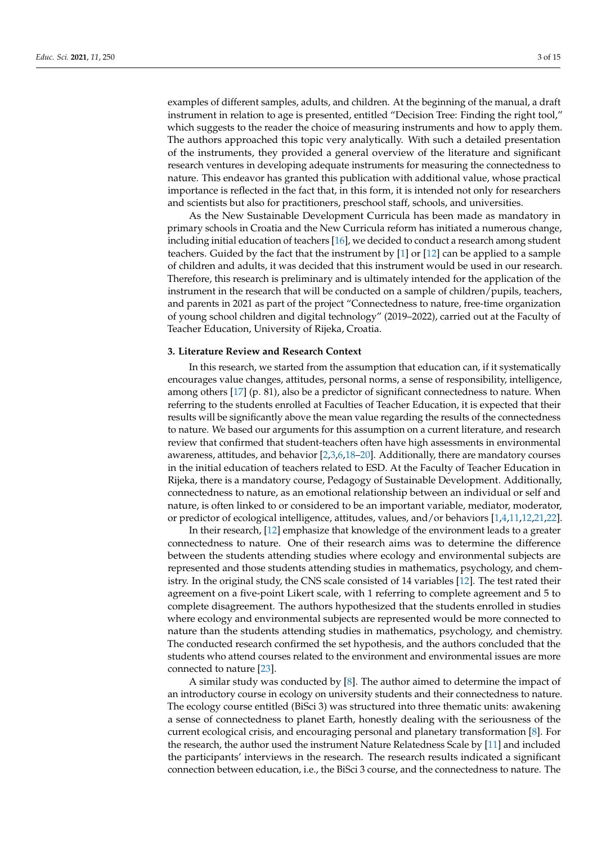examples of different samples, adults, and children. At the beginning of the manual, a draft instrument in relation to age is presented, entitled "Decision Tree: Finding the right tool," which suggests to the reader the choice of measuring instruments and how to apply them. The authors approached this topic very analytically. With such a detailed presentation of the instruments, they provided a general overview of the literature and significant research ventures in developing adequate instruments for measuring the connectedness to nature. This endeavor has granted this publication with additional value, whose practical importance is reflected in the fact that, in this form, it is intended not only for researchers and scientists but also for practitioners, preschool staff, schools, and universities.

As the New Sustainable Development Curricula has been made as mandatory in primary schools in Croatia and the New Curricula reform has initiated a numerous change, including initial education of teachers [\[16\]](#page-13-12), we decided to conduct a research among student teachers. Guided by the fact that the instrument by [\[1\]](#page-12-0) or [\[12\]](#page-13-13) can be applied to a sample of children and adults, it was decided that this instrument would be used in our research. Therefore, this research is preliminary and is ultimately intended for the application of the instrument in the research that will be conducted on a sample of children/pupils, teachers, and parents in 2021 as part of the project "Connectedness to nature, free-time organization of young school children and digital technology" (2019–2022), carried out at the Faculty of Teacher Education, University of Rijeka, Croatia.

# **3. Literature Review and Research Context**

In this research, we started from the assumption that education can, if it systematically encourages value changes, attitudes, personal norms, a sense of responsibility, intelligence, among others [\[17\]](#page-13-14) (p. 81), also be a predictor of significant connectedness to nature. When referring to the students enrolled at Faculties of Teacher Education, it is expected that their results will be significantly above the mean value regarding the results of the connectedness to nature. We based our arguments for this assumption on a current literature, and research review that confirmed that student-teachers often have high assessments in environmental awareness, attitudes, and behavior [\[2,](#page-12-1)[3,](#page-13-0)[6](#page-13-3)[,18](#page-13-15)[–20\]](#page-13-16). Additionally, there are mandatory courses in the initial education of teachers related to ESD. At the Faculty of Teacher Education in Rijeka, there is a mandatory course, Pedagogy of Sustainable Development. Additionally, connectedness to nature, as an emotional relationship between an individual or self and nature, is often linked to or considered to be an important variable, mediator, moderator, or predictor of ecological intelligence, attitudes, values, and/or behaviors [\[1,](#page-12-0)[4,](#page-13-1)[11](#page-13-8)[,12](#page-13-13)[,21](#page-13-17)[,22\]](#page-13-18).

In their research, [\[12\]](#page-13-13) emphasize that knowledge of the environment leads to a greater connectedness to nature. One of their research aims was to determine the difference between the students attending studies where ecology and environmental subjects are represented and those students attending studies in mathematics, psychology, and chemistry. In the original study, the CNS scale consisted of 14 variables [\[12\]](#page-13-13). The test rated their agreement on a five-point Likert scale, with 1 referring to complete agreement and 5 to complete disagreement. The authors hypothesized that the students enrolled in studies where ecology and environmental subjects are represented would be more connected to nature than the students attending studies in mathematics, psychology, and chemistry. The conducted research confirmed the set hypothesis, and the authors concluded that the students who attend courses related to the environment and environmental issues are more connected to nature [\[23\]](#page-13-19).

A similar study was conducted by [\[8\]](#page-13-5). The author aimed to determine the impact of an introductory course in ecology on university students and their connectedness to nature. The ecology course entitled (BiSci 3) was structured into three thematic units: awakening a sense of connectedness to planet Earth, honestly dealing with the seriousness of the current ecological crisis, and encouraging personal and planetary transformation [\[8\]](#page-13-5). For the research, the author used the instrument Nature Relatedness Scale by [\[11\]](#page-13-8) and included the participants' interviews in the research. The research results indicated a significant connection between education, i.e., the BiSci 3 course, and the connectedness to nature. The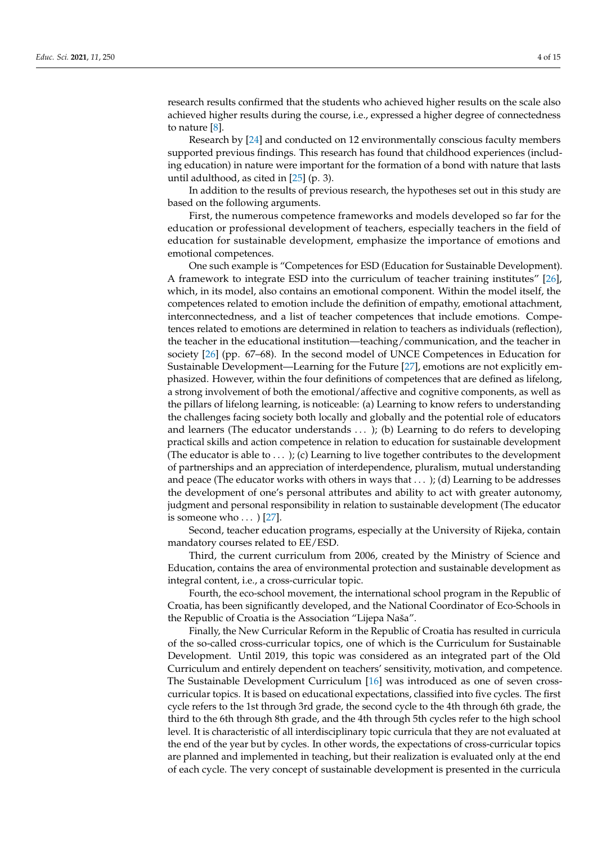research results confirmed that the students who achieved higher results on the scale also achieved higher results during the course, i.e., expressed a higher degree of connectedness to nature [\[8\]](#page-13-5).

Research by [\[24\]](#page-13-20) and conducted on 12 environmentally conscious faculty members supported previous findings. This research has found that childhood experiences (including education) in nature were important for the formation of a bond with nature that lasts until adulthood, as cited in [\[25\]](#page-13-21) (p. 3).

In addition to the results of previous research, the hypotheses set out in this study are based on the following arguments.

First, the numerous competence frameworks and models developed so far for the education or professional development of teachers, especially teachers in the field of education for sustainable development, emphasize the importance of emotions and emotional competences.

One such example is "Competences for ESD (Education for Sustainable Development). A framework to integrate ESD into the curriculum of teacher training institutes" [\[26\]](#page-13-22), which, in its model, also contains an emotional component. Within the model itself, the competences related to emotion include the definition of empathy, emotional attachment, interconnectedness, and a list of teacher competences that include emotions. Competences related to emotions are determined in relation to teachers as individuals (reflection), the teacher in the educational institution—teaching/communication, and the teacher in society [\[26\]](#page-13-22) (pp. 67–68). In the second model of UNCE Competences in Education for Sustainable Development—Learning for the Future [\[27\]](#page-13-23), emotions are not explicitly emphasized. However, within the four definitions of competences that are defined as lifelong, a strong involvement of both the emotional/affective and cognitive components, as well as the pillars of lifelong learning, is noticeable: (a) Learning to know refers to understanding the challenges facing society both locally and globally and the potential role of educators and learners (The educator understands . . . ); (b) Learning to do refers to developing practical skills and action competence in relation to education for sustainable development (The educator is able to  $\dots$  ); (c) Learning to live together contributes to the development of partnerships and an appreciation of interdependence, pluralism, mutual understanding and peace (The educator works with others in ways that  $\dots$ ); (d) Learning to be addresses the development of one's personal attributes and ability to act with greater autonomy, judgment and personal responsibility in relation to sustainable development (The educator is someone who  $\ldots$  ) [\[27\]](#page-13-23).

Second, teacher education programs, especially at the University of Rijeka, contain mandatory courses related to EE/ESD.

Third, the current curriculum from 2006, created by the Ministry of Science and Education, contains the area of environmental protection and sustainable development as integral content, i.e., a cross-curricular topic.

Fourth, the eco-school movement, the international school program in the Republic of Croatia, has been significantly developed, and the National Coordinator of Eco-Schools in the Republic of Croatia is the Association "Lijepa Naša".

Finally, the New Curricular Reform in the Republic of Croatia has resulted in curricula of the so-called cross-curricular topics, one of which is the Curriculum for Sustainable Development. Until 2019, this topic was considered as an integrated part of the Old Curriculum and entirely dependent on teachers' sensitivity, motivation, and competence. The Sustainable Development Curriculum [\[16\]](#page-13-12) was introduced as one of seven crosscurricular topics. It is based on educational expectations, classified into five cycles. The first cycle refers to the 1st through 3rd grade, the second cycle to the 4th through 6th grade, the third to the 6th through 8th grade, and the 4th through 5th cycles refer to the high school level. It is characteristic of all interdisciplinary topic curricula that they are not evaluated at the end of the year but by cycles. In other words, the expectations of cross-curricular topics are planned and implemented in teaching, but their realization is evaluated only at the end of each cycle. The very concept of sustainable development is presented in the curricula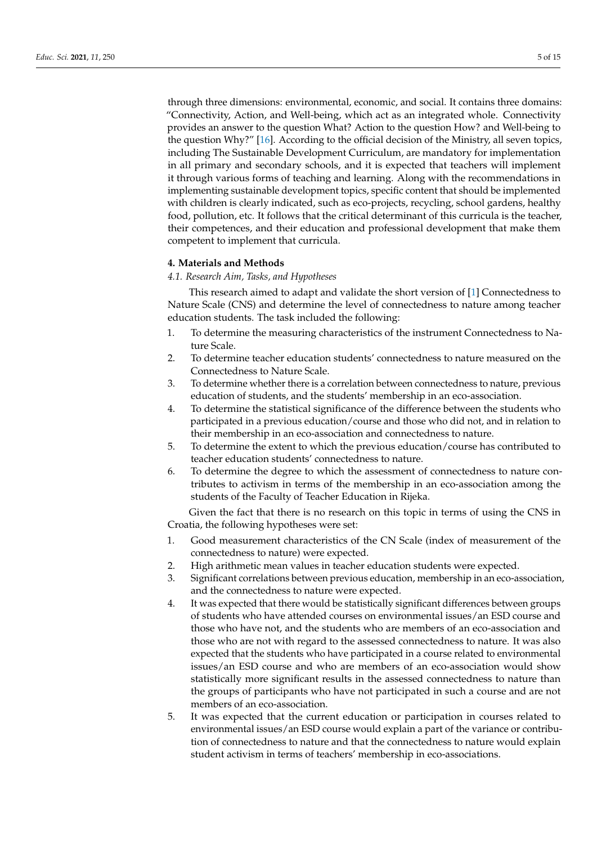through three dimensions: environmental, economic, and social. It contains three domains: "Connectivity, Action, and Well-being, which act as an integrated whole. Connectivity provides an answer to the question What? Action to the question How? and Well-being to the question Why?" [\[16\]](#page-13-12). According to the official decision of the Ministry, all seven topics, including The Sustainable Development Curriculum, are mandatory for implementation in all primary and secondary schools, and it is expected that teachers will implement it through various forms of teaching and learning. Along with the recommendations in implementing sustainable development topics, specific content that should be implemented with children is clearly indicated, such as eco-projects, recycling, school gardens, healthy food, pollution, etc. It follows that the critical determinant of this curricula is the teacher, their competences, and their education and professional development that make them competent to implement that curricula.

#### **4. Materials and Methods**

# *4.1. Research Aim, Tasks, and Hypotheses*

This research aimed to adapt and validate the short version of [\[1\]](#page-12-0) Connectedness to Nature Scale (CNS) and determine the level of connectedness to nature among teacher education students. The task included the following:

- 1. To determine the measuring characteristics of the instrument Connectedness to Nature Scale.
- 2. To determine teacher education students' connectedness to nature measured on the Connectedness to Nature Scale.
- 3. To determine whether there is a correlation between connectedness to nature, previous education of students, and the students' membership in an eco-association.
- 4. To determine the statistical significance of the difference between the students who participated in a previous education/course and those who did not, and in relation to their membership in an eco-association and connectedness to nature.
- 5. To determine the extent to which the previous education/course has contributed to teacher education students' connectedness to nature.
- 6. To determine the degree to which the assessment of connectedness to nature contributes to activism in terms of the membership in an eco-association among the students of the Faculty of Teacher Education in Rijeka.

Given the fact that there is no research on this topic in terms of using the CNS in Croatia, the following hypotheses were set:

- 1. Good measurement characteristics of the CN Scale (index of measurement of the connectedness to nature) were expected.
- 2. High arithmetic mean values in teacher education students were expected.
- 3. Significant correlations between previous education, membership in an eco-association, and the connectedness to nature were expected.
- 4. It was expected that there would be statistically significant differences between groups of students who have attended courses on environmental issues/an ESD course and those who have not, and the students who are members of an eco-association and those who are not with regard to the assessed connectedness to nature. It was also expected that the students who have participated in a course related to environmental issues/an ESD course and who are members of an eco-association would show statistically more significant results in the assessed connectedness to nature than the groups of participants who have not participated in such a course and are not members of an eco-association.
- 5. It was expected that the current education or participation in courses related to environmental issues/an ESD course would explain a part of the variance or contribution of connectedness to nature and that the connectedness to nature would explain student activism in terms of teachers' membership in eco-associations.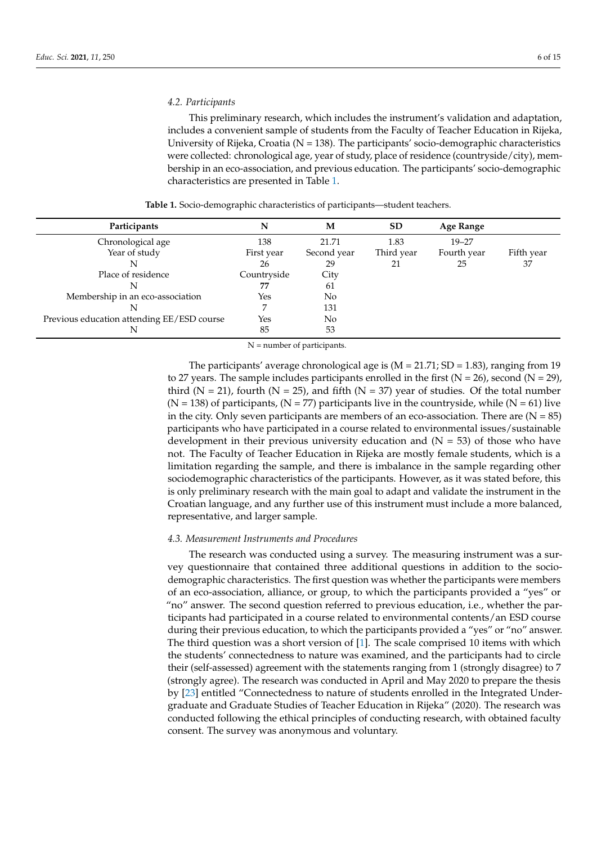#### *4.2. Participants*

This preliminary research, which includes the instrument's validation and adaptation, includes a convenient sample of students from the Faculty of Teacher Education in Rijeka, University of Rijeka, Croatia (N = 138). The participants' socio-demographic characteristics were collected: chronological age, year of study, place of residence (countryside/city), membership in an eco-association, and previous education. The participants' socio-demographic characteristics are presented in Table [1.](#page-5-0)

<span id="page-5-0"></span>

| Participants                               | N           | M           | <b>SD</b>  | Age Range   |            |
|--------------------------------------------|-------------|-------------|------------|-------------|------------|
| Chronological age                          | 138         | 21.71       | 1.83       | $19 - 27$   |            |
| Year of study                              | First year  | Second year | Third year | Fourth year | Fifth year |
|                                            | 26          | 29          | 21         | 25          | 37         |
| Place of residence                         | Countryside | City        |            |             |            |
|                                            | 77          | 61          |            |             |            |
| Membership in an eco-association           | Yes         | No          |            |             |            |
|                                            |             | 131         |            |             |            |
| Previous education attending EE/ESD course | Yes         | No          |            |             |            |
|                                            | 85          | 53          |            |             |            |

**Table 1.** Socio-demographic characteristics of participants—student teachers.

N = number of participants.

The participants' average chronological age is  $(M = 21.71; SD = 1.83)$ , ranging from 19 to 27 years. The sample includes participants enrolled in the first  $(N = 26)$ , second  $(N = 29)$ , third ( $N = 21$ ), fourth ( $N = 25$ ), and fifth ( $N = 37$ ) year of studies. Of the total number  $(N = 138)$  of participants,  $(N = 77)$  participants live in the countryside, while  $(N = 61)$  live in the city. Only seven participants are members of an eco-association. There are  $(N = 85)$ participants who have participated in a course related to environmental issues/sustainable development in their previous university education and  $(N = 53)$  of those who have not. The Faculty of Teacher Education in Rijeka are mostly female students, which is a limitation regarding the sample, and there is imbalance in the sample regarding other sociodemographic characteristics of the participants. However, as it was stated before, this is only preliminary research with the main goal to adapt and validate the instrument in the Croatian language, and any further use of this instrument must include a more balanced, representative, and larger sample.

#### *4.3. Measurement Instruments and Procedures*

The research was conducted using a survey. The measuring instrument was a survey questionnaire that contained three additional questions in addition to the sociodemographic characteristics. The first question was whether the participants were members of an eco-association, alliance, or group, to which the participants provided a "yes" or "no" answer. The second question referred to previous education, i.e., whether the participants had participated in a course related to environmental contents/an ESD course during their previous education, to which the participants provided a "yes" or "no" answer. The third question was a short version of [\[1\]](#page-12-0). The scale comprised 10 items with which the students' connectedness to nature was examined, and the participants had to circle their (self-assessed) agreement with the statements ranging from 1 (strongly disagree) to 7 (strongly agree). The research was conducted in April and May 2020 to prepare the thesis by [\[23\]](#page-13-19) entitled "Connectedness to nature of students enrolled in the Integrated Undergraduate and Graduate Studies of Teacher Education in Rijeka" (2020). The research was conducted following the ethical principles of conducting research, with obtained faculty consent. The survey was anonymous and voluntary.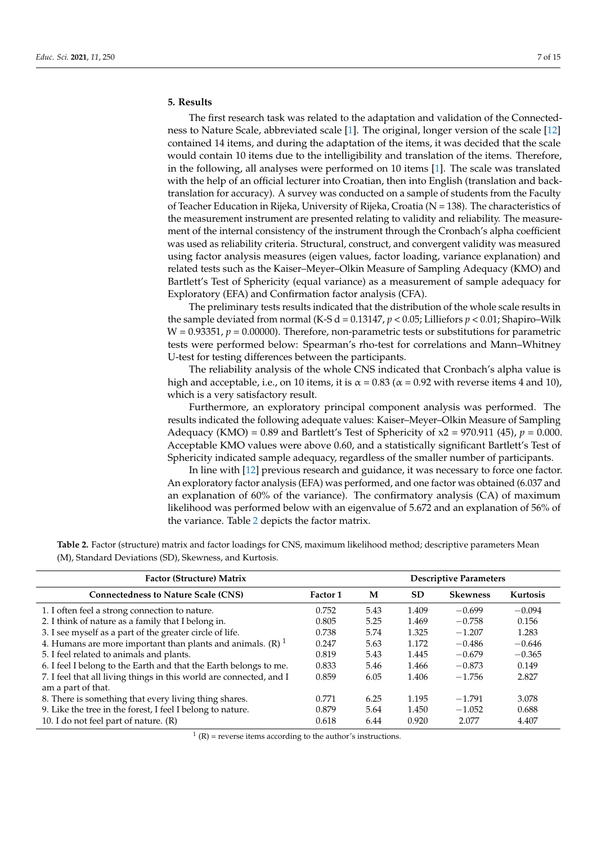# **5. Results**

The first research task was related to the adaptation and validation of the Connectedness to Nature Scale, abbreviated scale [\[1\]](#page-12-0). The original, longer version of the scale [\[12\]](#page-13-13) contained 14 items, and during the adaptation of the items, it was decided that the scale would contain 10 items due to the intelligibility and translation of the items. Therefore, in the following, all analyses were performed on 10 items [\[1\]](#page-12-0). The scale was translated with the help of an official lecturer into Croatian, then into English (translation and backtranslation for accuracy). A survey was conducted on a sample of students from the Faculty of Teacher Education in Rijeka, University of Rijeka, Croatia ( $N = 138$ ). The characteristics of the measurement instrument are presented relating to validity and reliability. The measurement of the internal consistency of the instrument through the Cronbach's alpha coefficient was used as reliability criteria. Structural, construct, and convergent validity was measured using factor analysis measures (eigen values, factor loading, variance explanation) and related tests such as the Kaiser–Meyer–Olkin Measure of Sampling Adequacy (KMO) and Bartlett's Test of Sphericity (equal variance) as a measurement of sample adequacy for Exploratory (EFA) and Confirmation factor analysis (CFA).

The preliminary tests results indicated that the distribution of the whole scale results in the sample deviated from normal (K-S d =  $0.13147$ ,  $p < 0.05$ ; Lilliefors  $p < 0.01$ ; Shapiro–Wilk  $W = 0.93351$ ,  $p = 0.00000$ . Therefore, non-parametric tests or substitutions for parametric tests were performed below: Spearman's rho-test for correlations and Mann–Whitney U-test for testing differences between the participants.

The reliability analysis of the whole CNS indicated that Cronbach's alpha value is high and acceptable, i.e., on 10 items, it is  $\alpha = 0.83$  ( $\alpha = 0.92$  with reverse items 4 and 10), which is a very satisfactory result.

Furthermore, an exploratory principal component analysis was performed. The results indicated the following adequate values: Kaiser–Meyer–Olkin Measure of Sampling Adequacy (KMO) =  $0.89$  and Bartlett's Test of Sphericity of  $x^2 = 970.911$  (45),  $p = 0.000$ . Acceptable KMO values were above 0.60, and a statistically significant Bartlett's Test of Sphericity indicated sample adequacy, regardless of the smaller number of participants.

In line with [\[12\]](#page-13-13) previous research and guidance, it was necessary to force one factor. An exploratory factor analysis (EFA) was performed, and one factor was obtained (6.037 and an explanation of 60% of the variance). The confirmatory analysis (CA) of maximum likelihood was performed below with an eigenvalue of 5.672 and an explanation of 56% of the variance. Table [2](#page-6-0) depicts the factor matrix.

| Factor (Structure) Matrix                                                | <b>Descriptive Parameters</b> |      |           |                 |          |  |
|--------------------------------------------------------------------------|-------------------------------|------|-----------|-----------------|----------|--|
| <b>Connectedness to Nature Scale (CNS)</b>                               | <b>Factor 1</b>               | M    | <b>SD</b> | <b>Skewness</b> | Kurtosis |  |
| 1. I often feel a strong connection to nature.                           | 0.752                         | 5.43 | 1.409     | $-0.699$        | $-0.094$ |  |
| 2. I think of nature as a family that I belong in.                       | 0.805                         | 5.25 | 1.469     | $-0.758$        | 0.156    |  |
| 3. I see myself as a part of the greater circle of life.                 | 0.738                         | 5.74 | 1.325     | $-1.207$        | 1.283    |  |
| 4. Humans are more important than plants and animals. $(R)$ <sup>1</sup> | 0.247                         | 5.63 | 1.172     | $-0.486$        | $-0.646$ |  |
| 5. I feel related to animals and plants.                                 | 0.819                         | 5.43 | 1.445     | $-0.679$        | $-0.365$ |  |
| 6. I feel I belong to the Earth and that the Earth belongs to me.        | 0.833                         | 5.46 | 1.466     | $-0.873$        | 0.149    |  |
| 7. I feel that all living things in this world are connected, and I      | 0.859                         | 6.05 | 1.406     | $-1.756$        | 2.827    |  |
| am a part of that.                                                       |                               |      |           |                 |          |  |
| 8. There is something that every living thing shares.                    | 0.771                         | 6.25 | 1.195     | $-1.791$        | 3.078    |  |
| 9. Like the tree in the forest, I feel I belong to nature.               | 0.879                         | 5.64 | 1.450     | $-1.052$        | 0.688    |  |
| 10. I do not feel part of nature. (R)                                    | 0.618                         | 6.44 | 0.920     | 2.077           | 4.407    |  |

<span id="page-6-0"></span>**Table 2.** Factor (structure) matrix and factor loadings for CNS, maximum likelihood method; descriptive parameters Mean (M), Standard Deviations (SD), Skewness, and Kurtosis.

 $1(R)$  = reverse items according to the author's instructions.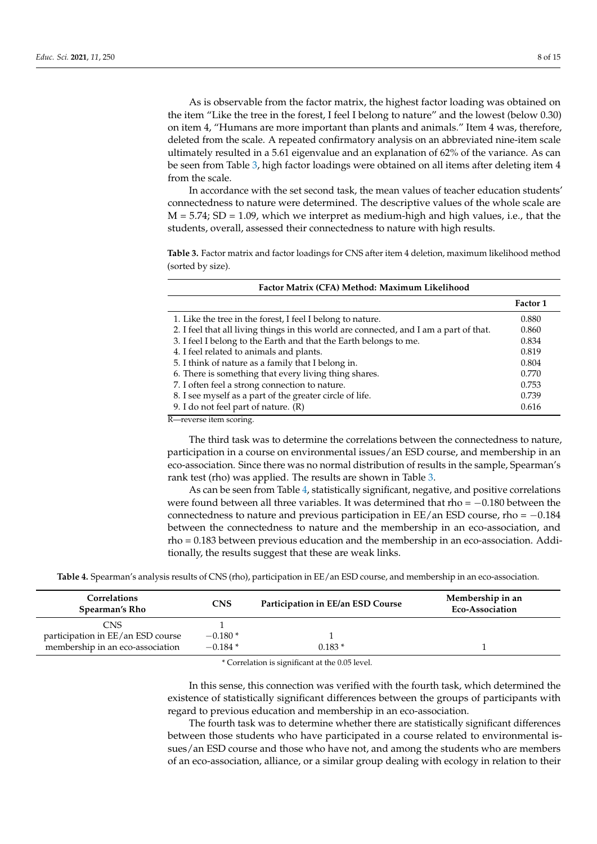As is observable from the factor matrix, the highest factor loading was obtained on the item "Like the tree in the forest, I feel I belong to nature" and the lowest (below 0.30) on item 4, "Humans are more important than plants and animals." Item 4 was, therefore, deleted from the scale. A repeated confirmatory analysis on an abbreviated nine-item scale ultimately resulted in a 5.61 eigenvalue and an explanation of 62% of the variance. As can be seen from Table [3,](#page-7-0) high factor loadings were obtained on all items after deleting item 4 from the scale.

In accordance with the set second task, the mean values of teacher education students' connectedness to nature were determined. The descriptive values of the whole scale are  $M = 5.74$ ; SD = 1.09, which we interpret as medium-high and high values, i.e., that the students, overall, assessed their connectedness to nature with high results.

<span id="page-7-0"></span>**Table 3.** Factor matrix and factor loadings for CNS after item 4 deletion, maximum likelihood method (sorted by size).

| Factor Matrix (CFA) Method: Maximum Likelihood                                         |          |
|----------------------------------------------------------------------------------------|----------|
|                                                                                        | Factor 1 |
| 1. Like the tree in the forest, I feel I belong to nature.                             | 0.880    |
| 2. I feel that all living things in this world are connected, and I am a part of that. | 0.860    |
| 3. I feel I belong to the Earth and that the Earth belongs to me.                      | 0.834    |
| 4. I feel related to animals and plants.                                               | 0.819    |
| 5. I think of nature as a family that I belong in.                                     | 0.804    |
| 6. There is something that every living thing shares.                                  | 0.770    |
| 7. I often feel a strong connection to nature.                                         | 0.753    |
| 8. I see myself as a part of the greater circle of life.                               | 0.739    |
| 9. I do not feel part of nature. (R)                                                   | 0.616    |

R—reverse item scoring.

The third task was to determine the correlations between the connectedness to nature, participation in a course on environmental issues/an ESD course, and membership in an eco-association. Since there was no normal distribution of results in the sample, Spearman's rank test (rho) was applied. The results are shown in Table [3.](#page-7-0)

As can be seen from Table [4,](#page-7-1) statistically significant, negative, and positive correlations were found between all three variables. It was determined that rho =  $-0.180$  between the connectedness to nature and previous participation in EE/an ESD course, rho = −0.184 between the connectedness to nature and the membership in an eco-association, and rho = 0.183 between previous education and the membership in an eco-association. Additionally, the results suggest that these are weak links.

<span id="page-7-1"></span>**Table 4.** Spearman's analysis results of CNS (rho), participation in EE/an ESD course, and membership in an eco-association.

| <b>Correlations</b><br>Spearman's Rho | <b>CNS</b> | Participation in EE/an ESD Course | Membership in an<br>Eco-Association |
|---------------------------------------|------------|-----------------------------------|-------------------------------------|
| CNS                                   |            |                                   |                                     |
| participation in EE/an ESD course     | $-0.180*$  |                                   |                                     |
| membership in an eco-association      | $-0.184*$  | $0.183*$                          |                                     |

\* Correlation is significant at the 0.05 level.

In this sense, this connection was verified with the fourth task, which determined the existence of statistically significant differences between the groups of participants with regard to previous education and membership in an eco-association.

The fourth task was to determine whether there are statistically significant differences between those students who have participated in a course related to environmental issues/an ESD course and those who have not, and among the students who are members of an eco-association, alliance, or a similar group dealing with ecology in relation to their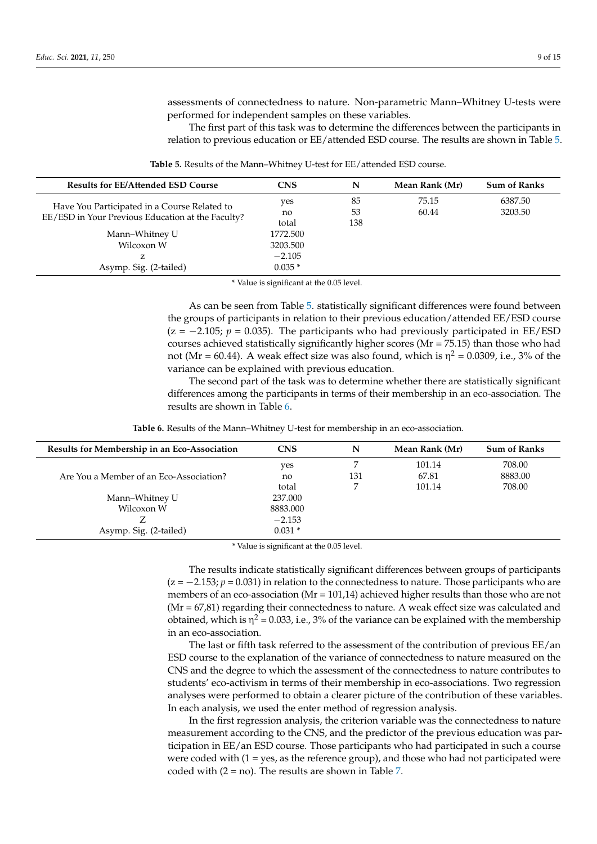assessments of connectedness to nature. Non-parametric Mann–Whitney U-tests were performed for independent samples on these variables.

The first part of this task was to determine the differences between the participants in relation to previous education or EE/attended ESD course. The results are shown in Table [5.](#page-8-0)

<span id="page-8-0"></span>

| <b>Results for EE/Attended ESD Course</b>                                                         | <b>CNS</b>                                   | N               | Mean Rank (Mr) | <b>Sum of Ranks</b> |
|---------------------------------------------------------------------------------------------------|----------------------------------------------|-----------------|----------------|---------------------|
| Have You Participated in a Course Related to<br>EE/ESD in Your Previous Education at the Faculty? | yes<br>no<br>total                           | 85<br>53<br>138 | 75.15<br>60.44 | 6387.50<br>3203.50  |
| Mann–Whitney U<br>Wilcoxon W<br>Asymp. Sig. (2-tailed)                                            | 1772.500<br>3203.500<br>$-2.105$<br>$0.035*$ |                 |                |                     |

**Table 5.** Results of the Mann–Whitney U-test for EE/attended ESD course.

\* Value is significant at the 0.05 level.

As can be seen from Table [5.](#page-8-0) statistically significant differences were found between the groups of participants in relation to their previous education/attended EE/ESD course  $(z = -2.105; p = 0.035)$ . The participants who had previously participated in EE/ESD courses achieved statistically significantly higher scores (Mr = 75.15) than those who had not (Mr = 60.44). A weak effect size was also found, which is  $\eta^2$  = 0.0309, i.e., 3% of the variance can be explained with previous education.

The second part of the task was to determine whether there are statistically significant differences among the participants in terms of their membership in an eco-association. The results are shown in Table [6.](#page-8-1)

<span id="page-8-1"></span>

| Results for Membership in an Eco-Association | <b>CNS</b> | N   | Mean Rank (Mr) | <b>Sum of Ranks</b> |
|----------------------------------------------|------------|-----|----------------|---------------------|
|                                              | yes        |     | 101.14         | 708.00              |
| Are You a Member of an Eco-Association?      | no         | 131 | 67.81          | 8883.00             |
|                                              | total      |     | 101.14         | 708.00              |
| Mann-Whitney U                               | 237.000    |     |                |                     |
| Wilcoxon W                                   | 8883.000   |     |                |                     |
|                                              | $-2.153$   |     |                |                     |
| Asymp. Sig. (2-tailed)                       | $0.031*$   |     |                |                     |

\* Value is significant at the 0.05 level.

The results indicate statistically significant differences between groups of participants  $(z = -2.153; p = 0.031)$  in relation to the connectedness to nature. Those participants who are members of an eco-association (Mr = 101,14) achieved higher results than those who are not  $(Mr = 67,81)$  regarding their connectedness to nature. A weak effect size was calculated and obtained, which is  $\eta^2$  = 0.033, i.e., 3% of the variance can be explained with the membership in an eco-association.

The last or fifth task referred to the assessment of the contribution of previous EE/an ESD course to the explanation of the variance of connectedness to nature measured on the CNS and the degree to which the assessment of the connectedness to nature contributes to students' eco-activism in terms of their membership in eco-associations. Two regression analyses were performed to obtain a clearer picture of the contribution of these variables. In each analysis, we used the enter method of regression analysis.

In the first regression analysis, the criterion variable was the connectedness to nature measurement according to the CNS, and the predictor of the previous education was participation in EE/an ESD course. Those participants who had participated in such a course were coded with  $(1 = yes, as the reference group)$ , and those who had not participated were coded with  $(2 = no)$ . The results are shown in Table [7.](#page-9-0)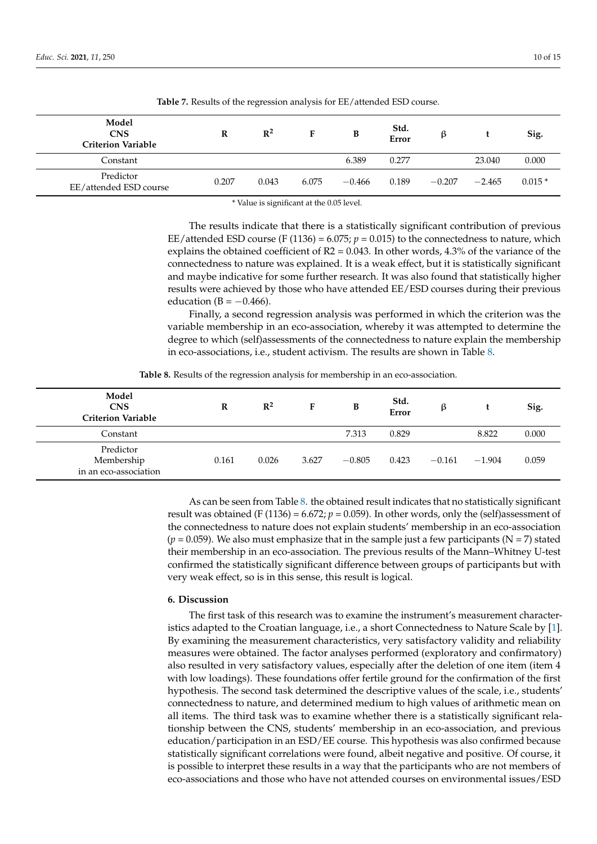<span id="page-9-0"></span>

| Model<br><b>CNS</b><br><b>Criterion Variable</b> | R     | $R^2$ | F     | B        | Std.<br>Error | β        |          | Sig.     |
|--------------------------------------------------|-------|-------|-------|----------|---------------|----------|----------|----------|
| Constant                                         |       |       |       | 6.389    | 0.277         |          | 23.040   | 0.000    |
| Predictor<br>EE/attended ESD course              | 0.207 | 0.043 | 6.075 | $-0.466$ | 0.189         | $-0.207$ | $-2.465$ | $0.015*$ |

**Table 7.** Results of the regression analysis for EE/attended ESD course.

\* Value is significant at the 0.05 level.

The results indicate that there is a statistically significant contribution of previous EE/attended ESD course (F  $(1136) = 6.075$ ;  $p = 0.015$ ) to the connectedness to nature, which explains the obtained coefficient of  $R2 = 0.043$ . In other words, 4.3% of the variance of the connectedness to nature was explained. It is a weak effect, but it is statistically significant and maybe indicative for some further research. It was also found that statistically higher results were achieved by those who have attended EE/ESD courses during their previous education (B =  $-0.466$ ).

Finally, a second regression analysis was performed in which the criterion was the variable membership in an eco-association, whereby it was attempted to determine the degree to which (self)assessments of the connectedness to nature explain the membership in eco-associations, i.e., student activism. The results are shown in Table [8.](#page-9-1)

**Table 8.** Results of the regression analysis for membership in an eco-association.

<span id="page-9-1"></span>

| Model<br><b>CNS</b><br><b>Criterion Variable</b> | R     | $\mathbb{R}^2$ | F     | B        | Std.<br>Error | ß        |          | Sig.  |
|--------------------------------------------------|-------|----------------|-------|----------|---------------|----------|----------|-------|
| Constant                                         |       |                |       | 7.313    | 0.829         |          | 8.822    | 0.000 |
| Predictor<br>Membership<br>in an eco-association | 0.161 | 0.026          | 3.627 | $-0.805$ | 0.423         | $-0.161$ | $-1.904$ | 0.059 |

As can be seen from Table [8.](#page-9-1) the obtained result indicates that no statistically significant result was obtained (F (1136) = 6.672;  $p = 0.059$ ). In other words, only the (self)assessment of the connectedness to nature does not explain students' membership in an eco-association  $(p = 0.059)$ . We also must emphasize that in the sample just a few participants (N = 7) stated their membership in an eco-association. The previous results of the Mann–Whitney U-test confirmed the statistically significant difference between groups of participants but with very weak effect, so is in this sense, this result is logical.

# **6. Discussion**

The first task of this research was to examine the instrument's measurement characteristics adapted to the Croatian language, i.e., a short Connectedness to Nature Scale by [\[1\]](#page-12-0). By examining the measurement characteristics, very satisfactory validity and reliability measures were obtained. The factor analyses performed (exploratory and confirmatory) also resulted in very satisfactory values, especially after the deletion of one item (item 4 with low loadings). These foundations offer fertile ground for the confirmation of the first hypothesis. The second task determined the descriptive values of the scale, i.e., students' connectedness to nature, and determined medium to high values of arithmetic mean on all items. The third task was to examine whether there is a statistically significant relationship between the CNS, students' membership in an eco-association, and previous education/participation in an ESD/EE course. This hypothesis was also confirmed because statistically significant correlations were found, albeit negative and positive. Of course, it is possible to interpret these results in a way that the participants who are not members of eco-associations and those who have not attended courses on environmental issues/ESD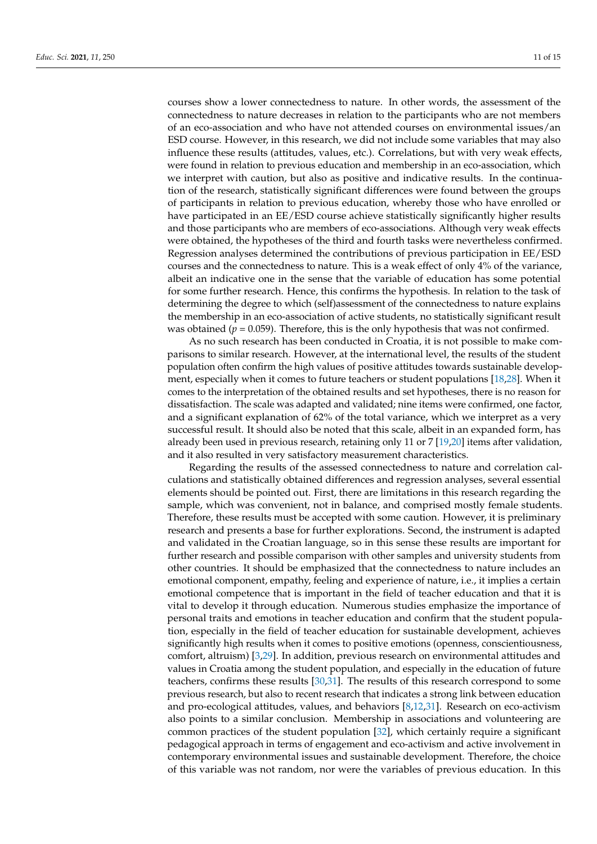courses show a lower connectedness to nature. In other words, the assessment of the connectedness to nature decreases in relation to the participants who are not members of an eco-association and who have not attended courses on environmental issues/an ESD course. However, in this research, we did not include some variables that may also influence these results (attitudes, values, etc.). Correlations, but with very weak effects, were found in relation to previous education and membership in an eco-association, which we interpret with caution, but also as positive and indicative results. In the continuation of the research, statistically significant differences were found between the groups of participants in relation to previous education, whereby those who have enrolled or have participated in an EE/ESD course achieve statistically significantly higher results and those participants who are members of eco-associations. Although very weak effects were obtained, the hypotheses of the third and fourth tasks were nevertheless confirmed. Regression analyses determined the contributions of previous participation in EE/ESD courses and the connectedness to nature. This is a weak effect of only 4% of the variance, albeit an indicative one in the sense that the variable of education has some potential for some further research. Hence, this confirms the hypothesis. In relation to the task of determining the degree to which (self)assessment of the connectedness to nature explains the membership in an eco-association of active students, no statistically significant result was obtained ( $p = 0.059$ ). Therefore, this is the only hypothesis that was not confirmed.

As no such research has been conducted in Croatia, it is not possible to make comparisons to similar research. However, at the international level, the results of the student population often confirm the high values of positive attitudes towards sustainable development, especially when it comes to future teachers or student populations [\[18](#page-13-15)[,28\]](#page-13-24). When it comes to the interpretation of the obtained results and set hypotheses, there is no reason for dissatisfaction. The scale was adapted and validated; nine items were confirmed, one factor, and a significant explanation of 62% of the total variance, which we interpret as a very successful result. It should also be noted that this scale, albeit in an expanded form, has already been used in previous research, retaining only 11 or 7 [\[19,](#page-13-25)[20\]](#page-13-16) items after validation, and it also resulted in very satisfactory measurement characteristics.

Regarding the results of the assessed connectedness to nature and correlation calculations and statistically obtained differences and regression analyses, several essential elements should be pointed out. First, there are limitations in this research regarding the sample, which was convenient, not in balance, and comprised mostly female students. Therefore, these results must be accepted with some caution. However, it is preliminary research and presents a base for further explorations. Second, the instrument is adapted and validated in the Croatian language, so in this sense these results are important for further research and possible comparison with other samples and university students from other countries. It should be emphasized that the connectedness to nature includes an emotional component, empathy, feeling and experience of nature, i.e., it implies a certain emotional competence that is important in the field of teacher education and that it is vital to develop it through education. Numerous studies emphasize the importance of personal traits and emotions in teacher education and confirm that the student population, especially in the field of teacher education for sustainable development, achieves significantly high results when it comes to positive emotions (openness, conscientiousness, comfort, altruism) [\[3](#page-13-0)[,29\]](#page-14-0). In addition, previous research on environmental attitudes and values in Croatia among the student population, and especially in the education of future teachers, confirms these results [\[30](#page-14-1)[,31\]](#page-14-2). The results of this research correspond to some previous research, but also to recent research that indicates a strong link between education and pro-ecological attitudes, values, and behaviors  $[8,12,31]$  $[8,12,31]$  $[8,12,31]$ . Research on eco-activism also points to a similar conclusion. Membership in associations and volunteering are common practices of the student population [\[32\]](#page-14-3), which certainly require a significant pedagogical approach in terms of engagement and eco-activism and active involvement in contemporary environmental issues and sustainable development. Therefore, the choice of this variable was not random, nor were the variables of previous education. In this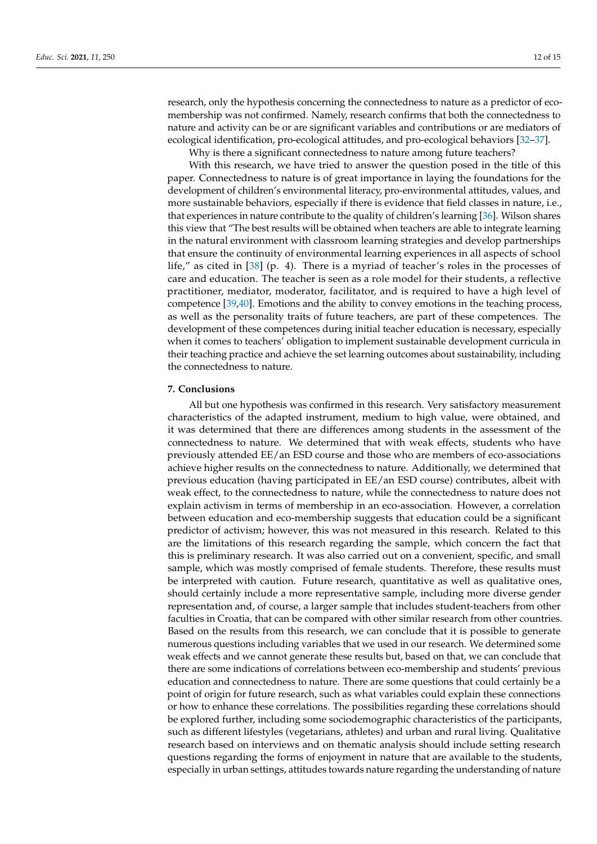research, only the hypothesis concerning the connectedness to nature as a predictor of ecomembership was not confirmed. Namely, research confirms that both the connectedness to nature and activity can be or are significant variables and contributions or are mediators of ecological identification, pro-ecological attitudes, and pro-ecological behaviors [\[32](#page-14-3)[–37\]](#page-14-4).

Why is there a significant connectedness to nature among future teachers?

With this research, we have tried to answer the question posed in the title of this paper. Connectedness to nature is of great importance in laying the foundations for the development of children's environmental literacy, pro-environmental attitudes, values, and more sustainable behaviors, especially if there is evidence that field classes in nature, i.e., that experiences in nature contribute to the quality of children's learning [\[36\]](#page-14-5). Wilson shares this view that "The best results will be obtained when teachers are able to integrate learning in the natural environment with classroom learning strategies and develop partnerships that ensure the continuity of environmental learning experiences in all aspects of school life," as cited in [\[38\]](#page-14-6) (p. 4). There is a myriad of teacher's roles in the processes of care and education. The teacher is seen as a role model for their students, a reflective practitioner, mediator, moderator, facilitator, and is required to have a high level of competence [\[39](#page-14-7)[,40\]](#page-14-8). Emotions and the ability to convey emotions in the teaching process, as well as the personality traits of future teachers, are part of these competences. The development of these competences during initial teacher education is necessary, especially when it comes to teachers' obligation to implement sustainable development curricula in their teaching practice and achieve the set learning outcomes about sustainability, including the connectedness to nature.

# **7. Conclusions**

All but one hypothesis was confirmed in this research. Very satisfactory measurement characteristics of the adapted instrument, medium to high value, were obtained, and it was determined that there are differences among students in the assessment of the connectedness to nature. We determined that with weak effects, students who have previously attended EE/an ESD course and those who are members of eco-associations achieve higher results on the connectedness to nature. Additionally, we determined that previous education (having participated in EE/an ESD course) contributes, albeit with weak effect, to the connectedness to nature, while the connectedness to nature does not explain activism in terms of membership in an eco-association. However, a correlation between education and eco-membership suggests that education could be a significant predictor of activism; however, this was not measured in this research. Related to this are the limitations of this research regarding the sample, which concern the fact that this is preliminary research. It was also carried out on a convenient, specific, and small sample, which was mostly comprised of female students. Therefore, these results must be interpreted with caution. Future research, quantitative as well as qualitative ones, should certainly include a more representative sample, including more diverse gender representation and, of course, a larger sample that includes student-teachers from other faculties in Croatia, that can be compared with other similar research from other countries. Based on the results from this research, we can conclude that it is possible to generate numerous questions including variables that we used in our research. We determined some weak effects and we cannot generate these results but, based on that, we can conclude that there are some indications of correlations between eco-membership and students' previous education and connectedness to nature. There are some questions that could certainly be a point of origin for future research, such as what variables could explain these connections or how to enhance these correlations. The possibilities regarding these correlations should be explored further, including some sociodemographic characteristics of the participants, such as different lifestyles (vegetarians, athletes) and urban and rural living. Qualitative research based on interviews and on thematic analysis should include setting research questions regarding the forms of enjoyment in nature that are available to the students, especially in urban settings, attitudes towards nature regarding the understanding of nature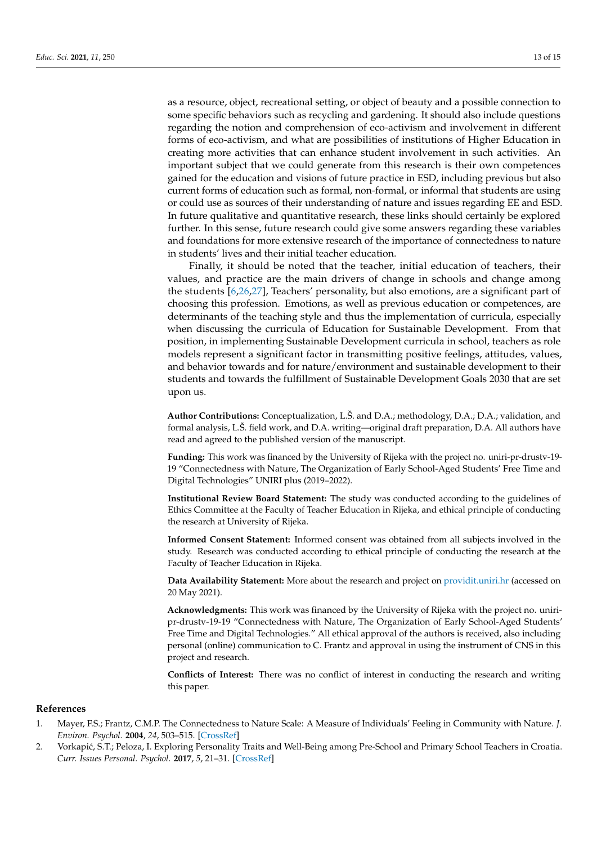as a resource, object, recreational setting, or object of beauty and a possible connection to some specific behaviors such as recycling and gardening. It should also include questions regarding the notion and comprehension of eco-activism and involvement in different forms of eco-activism, and what are possibilities of institutions of Higher Education in creating more activities that can enhance student involvement in such activities. An important subject that we could generate from this research is their own competences gained for the education and visions of future practice in ESD, including previous but also current forms of education such as formal, non-formal, or informal that students are using or could use as sources of their understanding of nature and issues regarding EE and ESD. In future qualitative and quantitative research, these links should certainly be explored further. In this sense, future research could give some answers regarding these variables and foundations for more extensive research of the importance of connectedness to nature in students' lives and their initial teacher education.

Finally, it should be noted that the teacher, initial education of teachers, their values, and practice are the main drivers of change in schools and change among the students [\[6,](#page-13-3)[26,](#page-13-22)[27\]](#page-13-23), Teachers' personality, but also emotions, are a significant part of choosing this profession. Emotions, as well as previous education or competences, are determinants of the teaching style and thus the implementation of curricula, especially when discussing the curricula of Education for Sustainable Development. From that position, in implementing Sustainable Development curricula in school, teachers as role models represent a significant factor in transmitting positive feelings, attitudes, values, and behavior towards and for nature/environment and sustainable development to their students and towards the fulfillment of Sustainable Development Goals 2030 that are set upon us.

**Author Contributions:** Conceptualization, L.Š. and D.A.; methodology, D.A.; D.A.; validation, and formal analysis, L.Š. field work, and D.A. writing—original draft preparation, D.A. All authors have read and agreed to the published version of the manuscript.

**Funding:** This work was financed by the University of Rijeka with the project no. uniri-pr-drustv-19- 19 "Connectedness with Nature, The Organization of Early School-Aged Students' Free Time and Digital Technologies" UNIRI plus (2019–2022).

**Institutional Review Board Statement:** The study was conducted according to the guidelines of Ethics Committee at the Faculty of Teacher Education in Rijeka, and ethical principle of conducting the research at University of Rijeka.

**Informed Consent Statement:** Informed consent was obtained from all subjects involved in the study. Research was conducted according to ethical principle of conducting the research at the Faculty of Teacher Education in Rijeka.

**Data Availability Statement:** More about the research and project on <providit.uniri.hr> (accessed on 20 May 2021).

**Acknowledgments:** This work was financed by the University of Rijeka with the project no. uniripr-drustv-19-19 "Connectedness with Nature, The Organization of Early School-Aged Students' Free Time and Digital Technologies." All ethical approval of the authors is received, also including personal (online) communication to C. Frantz and approval in using the instrument of CNS in this project and research.

**Conflicts of Interest:** There was no conflict of interest in conducting the research and writing this paper.

# **References**

- <span id="page-12-0"></span>1. Mayer, F.S.; Frantz, C.M.P. The Connectedness to Nature Scale: A Measure of Individuals' Feeling in Community with Nature. *J. Environ. Psychol.* **2004**, *24*, 503–515. [\[CrossRef\]](http://doi.org/10.1016/j.jenvp.2004.10.001)
- <span id="page-12-1"></span>2. Vorkapić, S.T.; Peloza, I. Exploring Personality Traits and Well-Being among Pre-School and Primary School Teachers in Croatia. *Curr. Issues Personal. Psychol.* **2017**, *5*, 21–31. [\[CrossRef\]](http://doi.org/10.5114/cipp.2017.65830)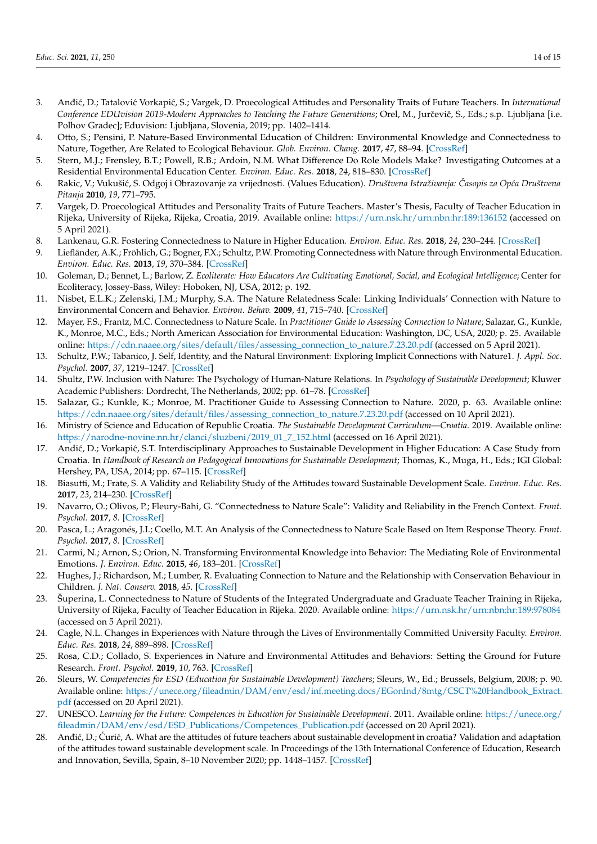- <span id="page-13-0"></span>3. Anđić, D.; Tatalović Vorkapić, S.; Vargek, D. Proecological Attitudes and Personality Traits of Future Teachers. In *International* Conference EDUvision 2019-Modern Approaches to Teaching the Future Generations; Orel, M., Jurčevič, S., Eds.; s.p. Ljubljana [i.e. Polhov Gradec]; Eduvision: Ljubljana, Slovenia, 2019; pp. 1402–1414.
- <span id="page-13-1"></span>4. Otto, S.; Pensini, P. Nature-Based Environmental Education of Children: Environmental Knowledge and Connectedness to Nature, Together, Are Related to Ecological Behaviour. *Glob. Environ. Chang.* **2017**, *47*, 88–94. [\[CrossRef\]](http://doi.org/10.1016/j.gloenvcha.2017.09.009)
- <span id="page-13-2"></span>5. Stern, M.J.; Frensley, B.T.; Powell, R.B.; Ardoin, N.M. What Difference Do Role Models Make? Investigating Outcomes at a Residential Environmental Education Center. *Environ. Educ. Res.* **2018**, *24*, 818–830. [\[CrossRef\]](http://doi.org/10.1080/13504622.2017.1313391)
- <span id="page-13-3"></span>6. Rakic, V.; Vukuši´c, S. Odgoj i Obrazovanje za vrijednosti. (Values Education). *Društvena Istraživanja: Casopis za Op´ca Društvena ˇ Pitanja* **2010**, *19*, 771–795.
- <span id="page-13-4"></span>7. Vargek, D. Proecological Attitudes and Personality Traits of Future Teachers. Master's Thesis, Faculty of Teacher Education in Rijeka, University of Rijeka, Rijeka, Croatia, 2019. Available online: <https://urn.nsk.hr/urn:nbn:hr:189:136152> (accessed on 5 April 2021).
- <span id="page-13-5"></span>8. Lankenau, G.R. Fostering Connectedness to Nature in Higher Education. *Environ. Educ. Res.* **2018**, *24*, 230–244. [\[CrossRef\]](http://doi.org/10.1080/13504622.2016.1225674)
- <span id="page-13-6"></span>9. Liefländer, A.K.; Fröhlich, G.; Bogner, F.X.; Schultz, P.W. Promoting Connectedness with Nature through Environmental Education. *Environ. Educ. Res.* **2013**, *19*, 370–384. [\[CrossRef\]](http://doi.org/10.1080/13504622.2012.697545)
- <span id="page-13-7"></span>10. Goleman, D.; Bennet, L.; Barlow, Z. *Ecoliterate: How Educators Are Cultivating Emotional, Social, and Ecological Intelligence*; Center for Ecoliteracy, Jossey-Bass, Wiley: Hoboken, NJ, USA, 2012; p. 192.
- <span id="page-13-8"></span>11. Nisbet, E.L.K.; Zelenski, J.M.; Murphy, S.A. The Nature Relatedness Scale: Linking Individuals' Connection with Nature to Environmental Concern and Behavior. *Environ. Behav.* **2009**, *41*, 715–740. [\[CrossRef\]](http://doi.org/10.1177/0013916508318748)
- <span id="page-13-13"></span>12. Mayer, F.S.; Frantz, M.C. Connectedness to Nature Scale. In *Practitioner Guide to Assessing Connection to Nature*; Salazar, G., Kunkle, K., Monroe, M.C., Eds.; North American Association for Environmental Education: Washington, DC, USA, 2020; p. 25. Available online: [https://cdn.naaee.org/sites/default/files/assessing\\_connection\\_to\\_nature.7.23.20.pdf](https://cdn.naaee.org/sites/default/files/assessing_connection_to_nature.7.23.20.pdf) (accessed on 5 April 2021).
- <span id="page-13-9"></span>13. Schultz, P.W.; Tabanico, J. Self, Identity, and the Natural Environment: Exploring Implicit Connections with Nature1. *J. Appl. Soc. Psychol.* **2007**, *37*, 1219–1247. [\[CrossRef\]](http://doi.org/10.1111/j.1559-1816.2007.00210.x)
- <span id="page-13-10"></span>14. Shultz, P.W. Inclusion with Nature: The Psychology of Human-Nature Relations. In *Psychology of Sustainable Development*; Kluwer Academic Publishers: Dordrecht, The Netherlands, 2002; pp. 61–78. [\[CrossRef\]](http://doi.org/10.1007/978-1-4615-0995-0_4)
- <span id="page-13-11"></span>15. Salazar, G.; Kunkle, K.; Monroe, M. Practitioner Guide to Assessing Connection to Nature. 2020, p. 63. Available online: [https://cdn.naaee.org/sites/default/files/assessing\\_connection\\_to\\_nature.7.23.20.pdf](https://cdn.naaee.org/sites/default/files/assessing_connection_to_nature.7.23.20.pdf) (accessed on 10 April 2021).
- <span id="page-13-12"></span>16. Ministry of Science and Education of Republic Croatia. *The Sustainable Development Curriculum—Croatia*. 2019. Available online: [https://narodne-novine.nn.hr/clanci/sluzbeni/2019\\_01\\_7\\_152.html](https://narodne-novine.nn.hr/clanci/sluzbeni/2019_01_7_152.html) (accessed on 16 April 2021).
- <span id="page-13-14"></span>17. Andić, D.; Vorkapić, S.T. Interdisciplinary Approaches to Sustainable Development in Higher Education: A Case Study from Croatia. In *Handbook of Research on Pedagogical Innovations for Sustainable Development*; Thomas, K., Muga, H., Eds.; IGI Global: Hershey, PA, USA, 2014; pp. 67–115. [\[CrossRef\]](http://doi.org/10.4018/978-1-4666-5856-1.ch005)
- <span id="page-13-15"></span>18. Biasutti, M.; Frate, S. A Validity and Reliability Study of the Attitudes toward Sustainable Development Scale. *Environ. Educ. Res.* **2017**, *23*, 214–230. [\[CrossRef\]](http://doi.org/10.1080/13504622.2016.1146660)
- <span id="page-13-25"></span>19. Navarro, O.; Olivos, P.; Fleury-Bahi, G. "Connectedness to Nature Scale": Validity and Reliability in the French Context. *Front. Psychol.* **2017**, *8*. [\[CrossRef\]](http://doi.org/10.3389/fpsyg.2017.02180)
- <span id="page-13-16"></span>20. Pasca, L.; Aragonés, J.I.; Coello, M.T. An Analysis of the Connectedness to Nature Scale Based on Item Response Theory. *Front. Psychol.* **2017**, *8*. [\[CrossRef\]](http://doi.org/10.3389/fpsyg.2017.01330)
- <span id="page-13-17"></span>21. Carmi, N.; Arnon, S.; Orion, N. Transforming Environmental Knowledge into Behavior: The Mediating Role of Environmental Emotions. *J. Environ. Educ.* **2015**, *46*, 183–201. [\[CrossRef\]](http://doi.org/10.1080/00958964.2015.1028517)
- <span id="page-13-18"></span>22. Hughes, J.; Richardson, M.; Lumber, R. Evaluating Connection to Nature and the Relationship with Conservation Behaviour in Children. *J. Nat. Conserv.* **2018**, *45*. [\[CrossRef\]](http://doi.org/10.1016/j.jnc.2018.07.004)
- <span id="page-13-19"></span>23. Šuperina, L. Connectedness to Nature of Students of the Integrated Undergraduate and Graduate Teacher Training in Rijeka, University of Rijeka, Faculty of Teacher Education in Rijeka. 2020. Available online: <https://urn.nsk.hr/urn:nbn:hr:189:978084> (accessed on 5 April 2021).
- <span id="page-13-20"></span>24. Cagle, N.L. Changes in Experiences with Nature through the Lives of Environmentally Committed University Faculty. *Environ. Educ. Res.* **2018**, *24*, 889–898. [\[CrossRef\]](http://doi.org/10.1080/13504622.2017.1342116)
- <span id="page-13-21"></span>25. Rosa, C.D.; Collado, S. Experiences in Nature and Environmental Attitudes and Behaviors: Setting the Ground for Future Research. *Front. Psychol.* **2019**, *10*, 763. [\[CrossRef\]](http://doi.org/10.3389/fpsyg.2019.00763)
- <span id="page-13-22"></span>26. Sleurs, W. *Competencies for ESD (Education for Sustainable Development) Teachers*; Sleurs, W., Ed.; Brussels, Belgium, 2008; p. 90. Available online: [https://unece.org/fileadmin/DAM/env/esd/inf.meeting.docs/EGonInd/8mtg/CSCT%20Handbook\\_Extract.](https://unece.org/fileadmin/DAM/env/esd/inf.meeting.docs/EGonInd/8mtg/CSCT%20Handbook_Extract.pdf) [pdf](https://unece.org/fileadmin/DAM/env/esd/inf.meeting.docs/EGonInd/8mtg/CSCT%20Handbook_Extract.pdf) (accessed on 20 April 2021).
- <span id="page-13-23"></span>27. UNESCO. *Learning for the Future: Competences in Education for Sustainable Development*. 2011. Available online: [https://unece.org/](https://unece.org/fileadmin/DAM/env/esd/ESD_Publications/Competences_Publication.pdf) [fileadmin/DAM/env/esd/ESD\\_Publications/Competences\\_Publication.pdf](https://unece.org/fileadmin/DAM/env/esd/ESD_Publications/Competences_Publication.pdf) (accessed on 20 April 2021).
- <span id="page-13-24"></span>28. Andić, D.; Ćurić, A. What are the attitudes of future teachers about sustainable development in croatia? Validation and adaptation of the attitudes toward sustainable development scale. In Proceedings of the 13th International Conference of Education, Research and Innovation, Sevilla, Spain, 8–10 November 2020; pp. 1448–1457. [\[CrossRef\]](http://doi.org/10.21125/iceri.2020.0374)